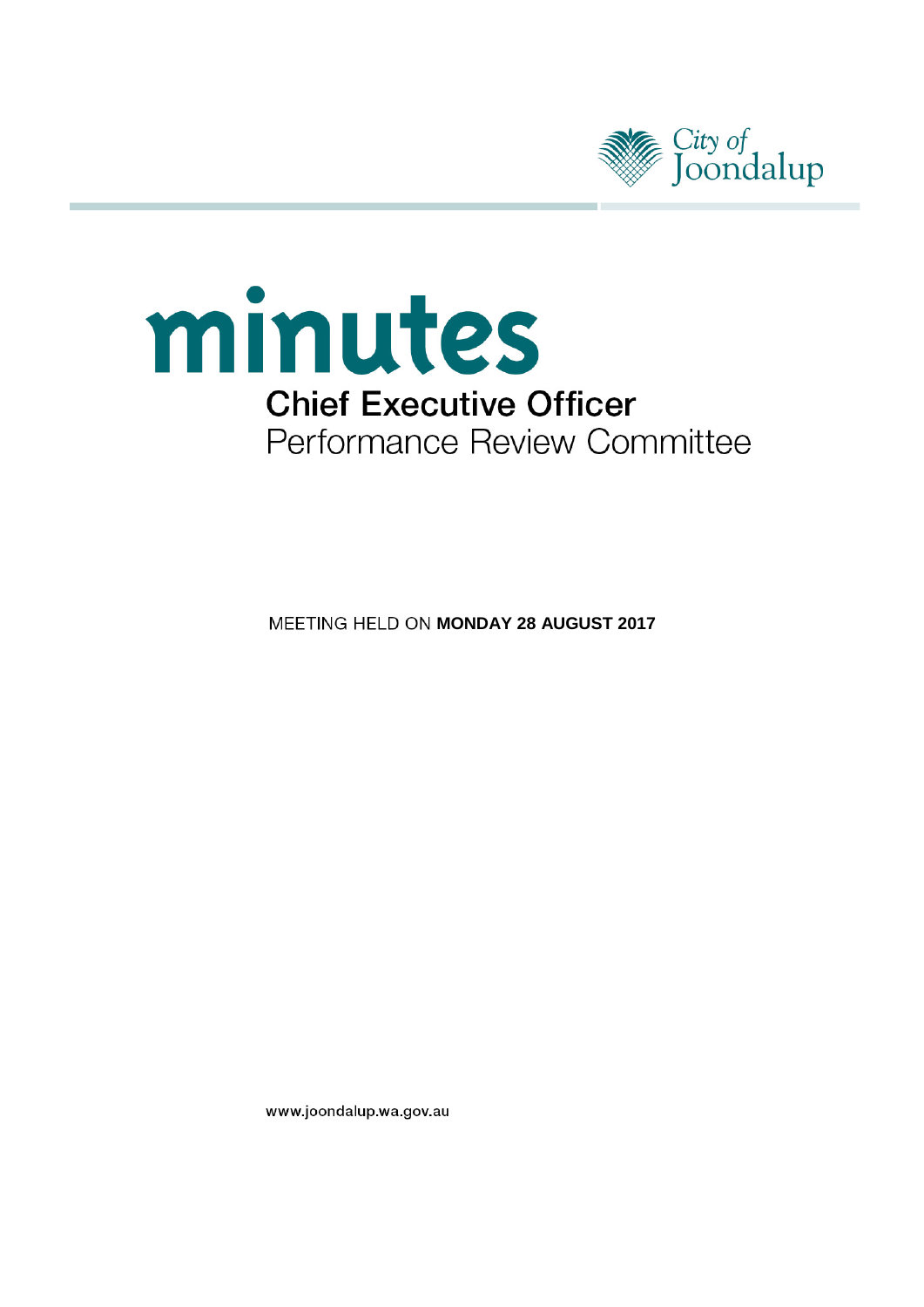



**MEETING HELD ON MONDAY 28 AUGUST 2017** 

www.joondalup.wa.gov.au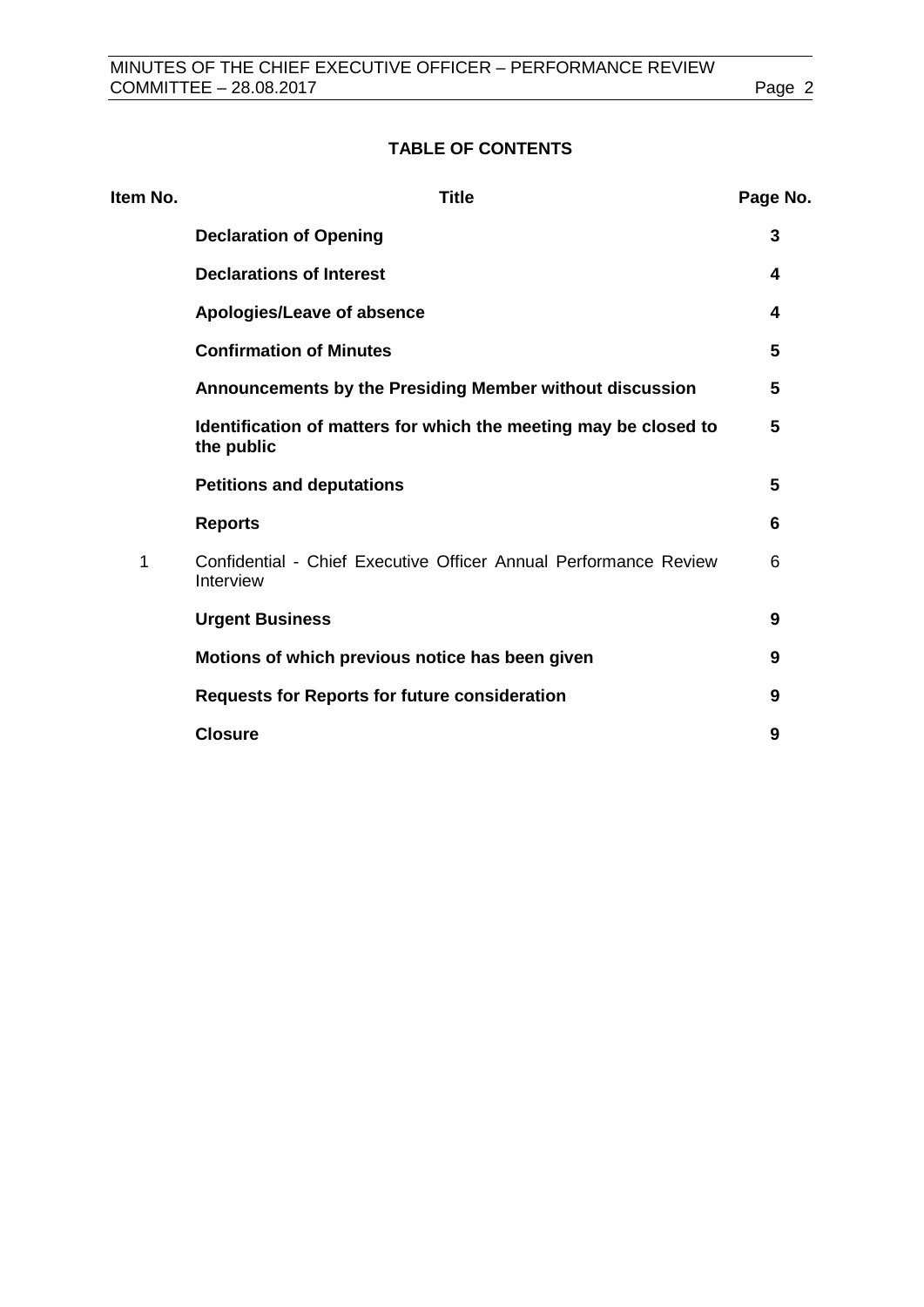# **TABLE OF CONTENTS**

| Item No. | <b>Title</b>                                                                   |   |
|----------|--------------------------------------------------------------------------------|---|
|          | <b>Declaration of Opening</b>                                                  | 3 |
|          | <b>Declarations of Interest</b>                                                | 4 |
|          | Apologies/Leave of absence                                                     | 4 |
|          | <b>Confirmation of Minutes</b>                                                 | 5 |
|          | Announcements by the Presiding Member without discussion                       | 5 |
|          | Identification of matters for which the meeting may be closed to<br>the public | 5 |
|          | <b>Petitions and deputations</b>                                               | 5 |
|          | <b>Reports</b>                                                                 | 6 |
| 1        | Confidential - Chief Executive Officer Annual Performance Review<br>Interview  | 6 |
|          | <b>Urgent Business</b>                                                         | 9 |
|          | Motions of which previous notice has been given                                | 9 |
|          | <b>Requests for Reports for future consideration</b>                           | 9 |
|          | <b>Closure</b>                                                                 | 9 |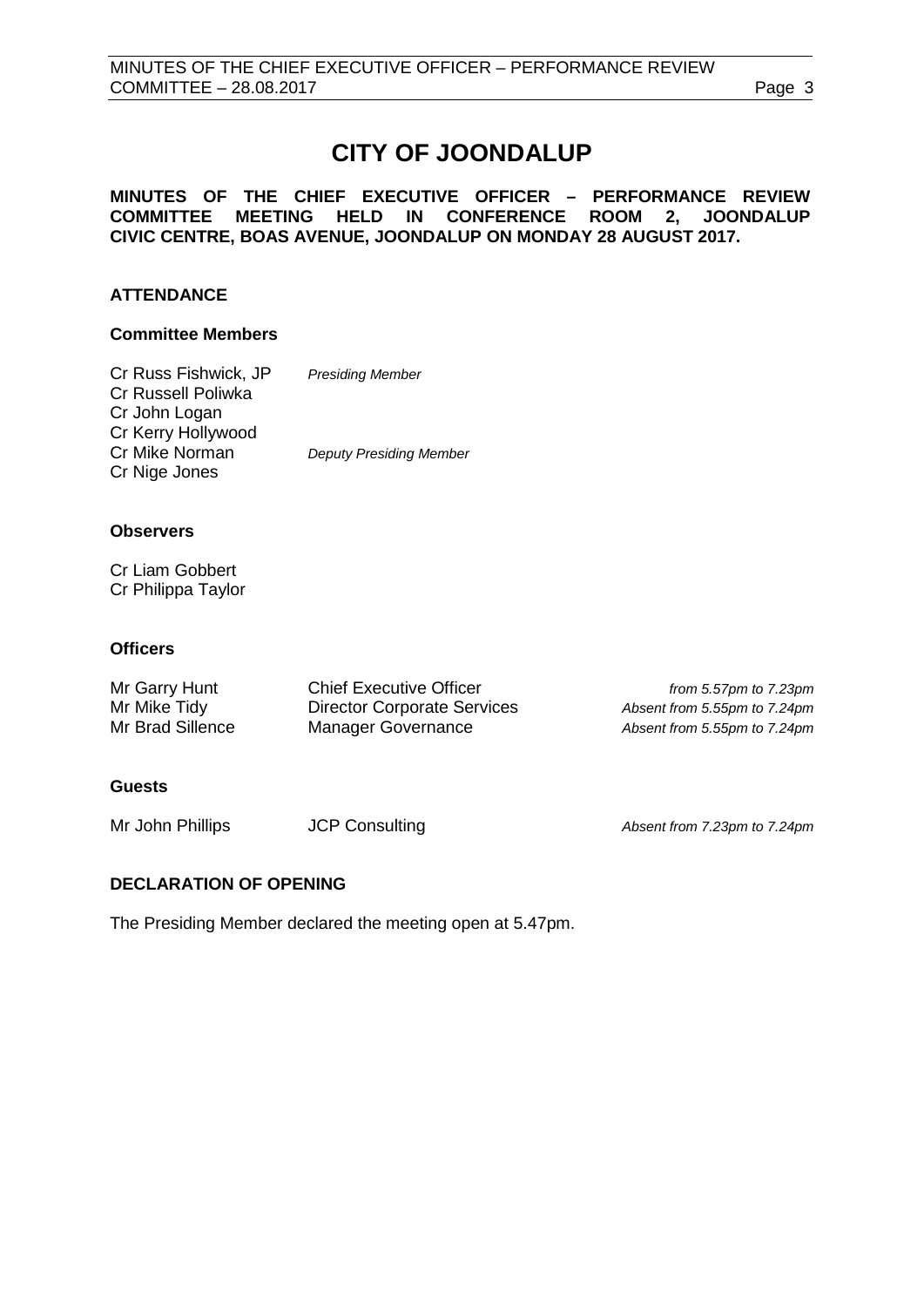# **CITY OF JOONDALUP**

#### **MINUTES OF THE CHIEF EXECUTIVE OFFICER – PERFORMANCE REVIEW COMMITTEE MEETING HELD IN CONFERENCE ROOM 2, JOONDALUP CIVIC CENTRE, BOAS AVENUE, JOONDALUP ON MONDAY 28 AUGUST 2017.**

# **ATTENDANCE**

# **Committee Members**

| Cr Russ Fishwick, JP | <b>Presiding Member</b>        |
|----------------------|--------------------------------|
| Cr Russell Poliwka   |                                |
| Cr John Logan        |                                |
| Cr Kerry Hollywood   |                                |
| Cr Mike Norman       | <b>Deputy Presiding Member</b> |
| Cr Nige Jones        |                                |

#### **Observers**

Cr Liam Gobbert Cr Philippa Taylor

#### **Officers**

| Mr Garry Hunt    | <b>Chief Executive Officer</b>     | from 5.57 $pm$ to 7.23 $pm$  |
|------------------|------------------------------------|------------------------------|
| Mr Mike Tidy     | <b>Director Corporate Services</b> | Absent from 5.55pm to 7.24pm |
| Mr Brad Sillence | Manager Governance                 | Absent from 5.55pm to 7.24pm |

# **Guests**

Mr John Phillips JCP Consulting *Absent from 7.23pm to 7.24pm*

# <span id="page-2-0"></span>**DECLARATION OF OPENING**

The Presiding Member declared the meeting open at 5.47pm.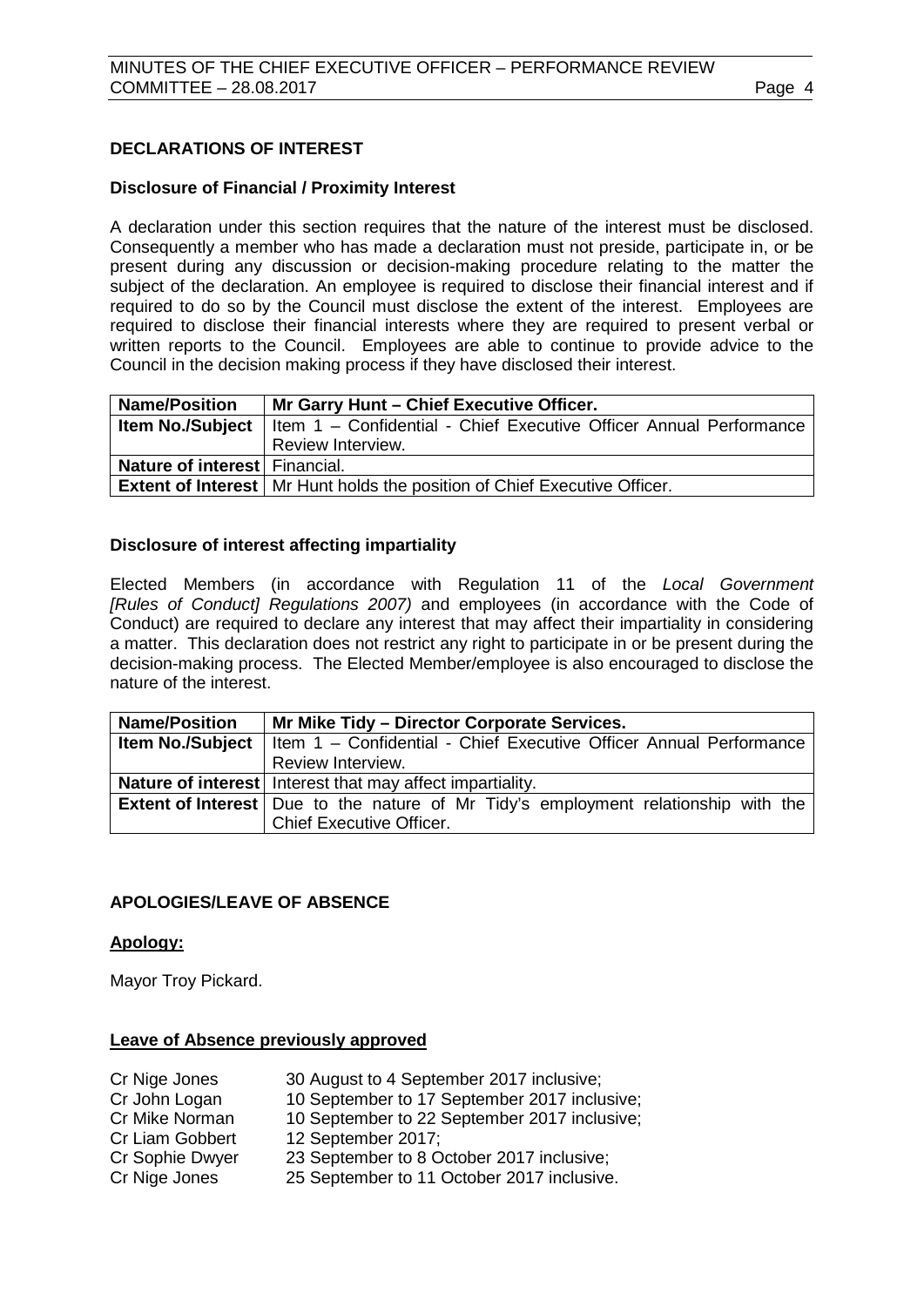# <span id="page-3-0"></span>**DECLARATIONS OF INTEREST**

#### **Disclosure of Financial / Proximity Interest**

A declaration under this section requires that the nature of the interest must be disclosed. Consequently a member who has made a declaration must not preside, participate in, or be present during any discussion or decision-making procedure relating to the matter the subject of the declaration. An employee is required to disclose their financial interest and if required to do so by the Council must disclose the extent of the interest. Employees are required to disclose their financial interests where they are required to present verbal or written reports to the Council. Employees are able to continue to provide advice to the Council in the decision making process if they have disclosed their interest.

| <b>Name/Position</b>          | Mr Garry Hunt - Chief Executive Officer.                                                     |  |  |
|-------------------------------|----------------------------------------------------------------------------------------------|--|--|
|                               | <b>Item No./Subject</b>   Item 1 - Confidential - Chief Executive Officer Annual Performance |  |  |
|                               | Review Interview.                                                                            |  |  |
| Nature of interest Financial. |                                                                                              |  |  |
|                               | <b>Extent of Interest</b>   Mr Hunt holds the position of Chief Executive Officer.           |  |  |

#### **Disclosure of interest affecting impartiality**

Elected Members (in accordance with Regulation 11 of the *Local Government [Rules of Conduct] Regulations 2007)* and employees (in accordance with the Code of Conduct) are required to declare any interest that may affect their impartiality in considering a matter. This declaration does not restrict any right to participate in or be present during the decision-making process. The Elected Member/employee is also encouraged to disclose the nature of the interest.

| <b>Name/Position</b> | Mr Mike Tidy - Director Corporate Services.                                                 |  |  |
|----------------------|---------------------------------------------------------------------------------------------|--|--|
|                      | Item No./Subject   Item 1 - Confidential - Chief Executive Officer Annual Performance       |  |  |
|                      | Review Interview.                                                                           |  |  |
|                      | Nature of interest   Interest that may affect impartiality.                                 |  |  |
|                      | <b>Extent of Interest</b>   Due to the nature of Mr Tidy's employment relationship with the |  |  |
|                      | <b>Chief Executive Officer.</b>                                                             |  |  |

# <span id="page-3-1"></span>**APOLOGIES/LEAVE OF ABSENCE**

#### **Apology:**

Mayor Troy Pickard.

#### **Leave of Absence previously approved**

<span id="page-3-2"></span>

| Cr Nige Jones   | 30 August to 4 September 2017 inclusive;     |
|-----------------|----------------------------------------------|
| Cr John Logan   | 10 September to 17 September 2017 inclusive; |
| Cr Mike Norman  | 10 September to 22 September 2017 inclusive; |
| Cr Liam Gobbert | 12 September 2017;                           |
| Cr Sophie Dwyer | 23 September to 8 October 2017 inclusive;    |
| Cr Nige Jones   | 25 September to 11 October 2017 inclusive.   |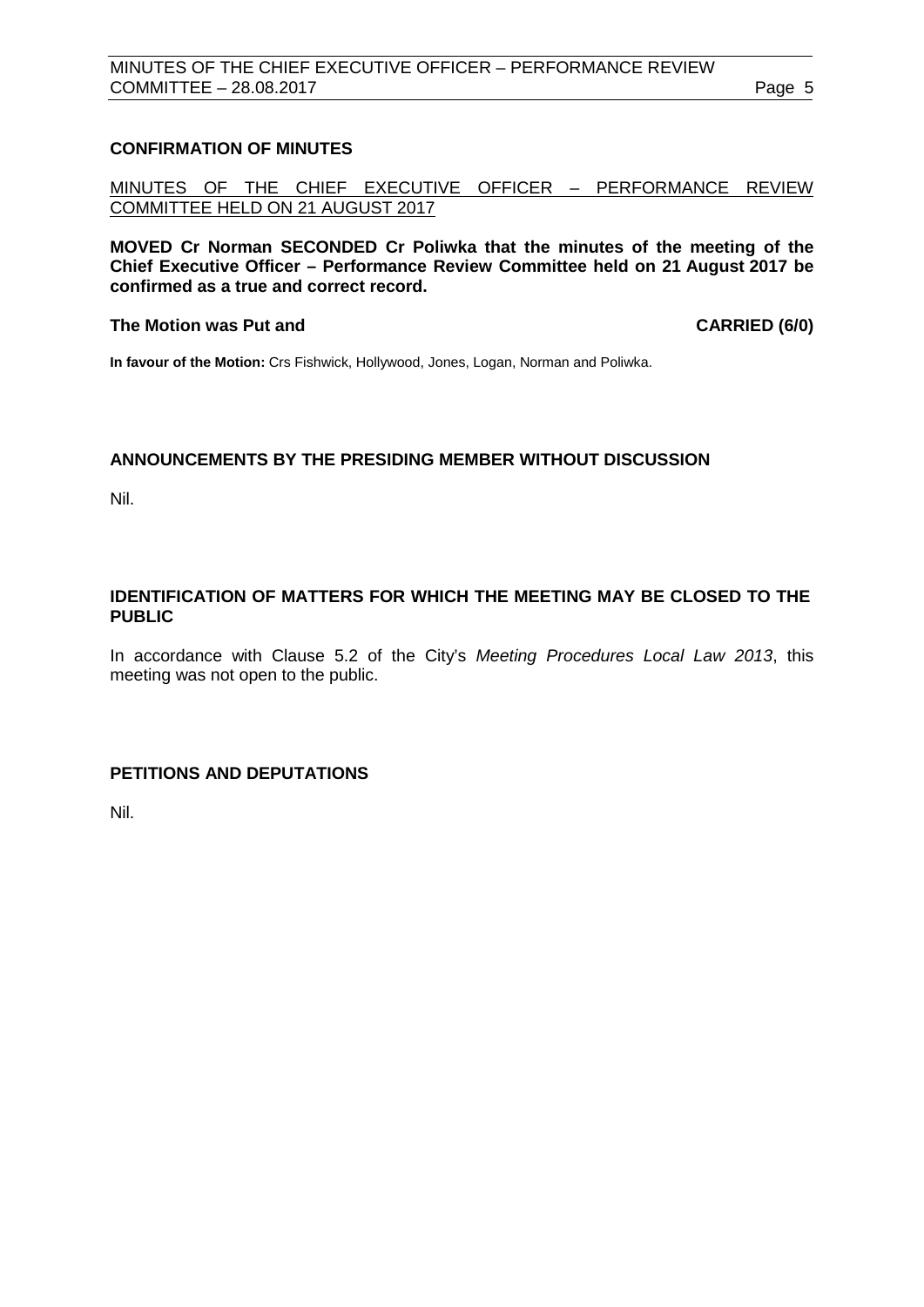# **CONFIRMATION OF MINUTES**

MINUTES OF THE CHIEF EXECUTIVE OFFICER – PERFORMANCE REVIEW COMMITTEE HELD ON 21 AUGUST 2017

**MOVED Cr Norman SECONDED Cr Poliwka that the minutes of the meeting of the Chief Executive Officer – Performance Review Committee held on 21 August 2017 be confirmed as a true and correct record.**

#### **The Motion was Put and CARRIED (6/0)**

**In favour of the Motion:** Crs Fishwick, Hollywood, Jones, Logan, Norman and Poliwka.

# **ANNOUNCEMENTS BY THE PRESIDING MEMBER WITHOUT DISCUSSION**

Nil.

# <span id="page-4-0"></span>**IDENTIFICATION OF MATTERS FOR WHICH THE MEETING MAY BE CLOSED TO THE PUBLIC**

In accordance with Clause 5.2 of the City's *Meeting Procedures Local Law 2013*, this meeting was not open to the public.

# <span id="page-4-1"></span>**PETITIONS AND DEPUTATIONS**

Nil.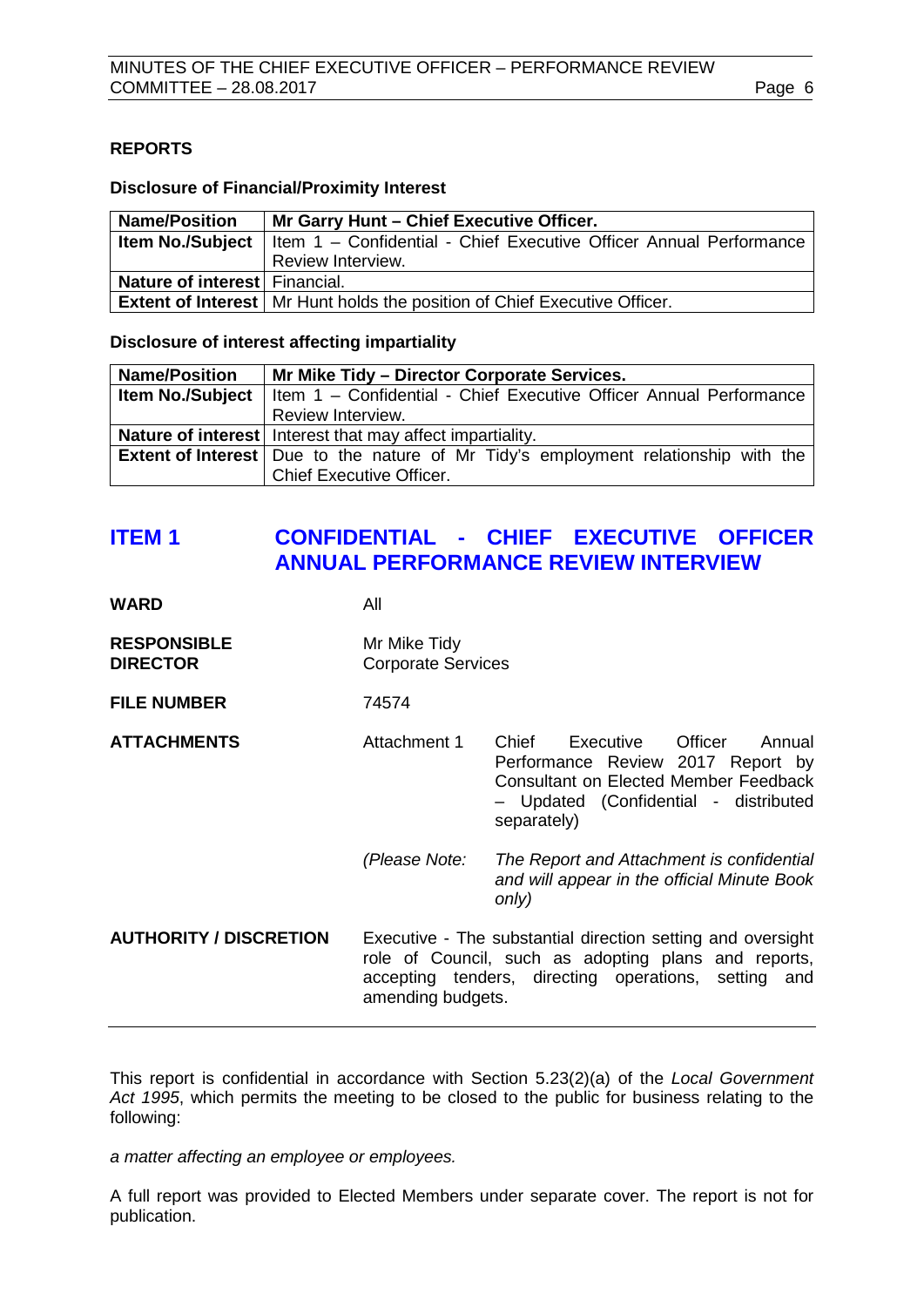#### <span id="page-5-0"></span>**REPORTS**

#### **Disclosure of Financial/Proximity Interest**

| <b>Name/Position</b>          | Mr Garry Hunt - Chief Executive Officer.                                                     |  |
|-------------------------------|----------------------------------------------------------------------------------------------|--|
|                               | <b>Item No./Subject</b>   Item 1 - Confidential - Chief Executive Officer Annual Performance |  |
|                               | Review Interview.                                                                            |  |
| Nature of interest Financial. |                                                                                              |  |
|                               | <b>Extent of Interest</b>   Mr Hunt holds the position of Chief Executive Officer.           |  |

#### **Disclosure of interest affecting impartiality**

| <b>Name/Position</b> | Mr Mike Tidy - Director Corporate Services.                                                  |  |  |
|----------------------|----------------------------------------------------------------------------------------------|--|--|
|                      | <b>Item No./Subject</b>   Item 1 - Confidential - Chief Executive Officer Annual Performance |  |  |
|                      | Review Interview.                                                                            |  |  |
|                      | <b>Nature of interest</b> Interest that may affect impartiality.                             |  |  |
|                      | <b>Extent of Interest</b>   Due to the nature of Mr Tidy's employment relationship with the  |  |  |
|                      | <b>Chief Executive Officer.</b>                                                              |  |  |

# <span id="page-5-1"></span>**ITEM 1 CONFIDENTIAL - CHIEF EXECUTIVE OFFICER ANNUAL PERFORMANCE REVIEW INTERVIEW**

| WARD                                  | All                                                                                                                                                                                              |                                                                                                                                                                                      |  |
|---------------------------------------|--------------------------------------------------------------------------------------------------------------------------------------------------------------------------------------------------|--------------------------------------------------------------------------------------------------------------------------------------------------------------------------------------|--|
| <b>RESPONSIBLE</b><br><b>DIRECTOR</b> | Mr Mike Tidy<br><b>Corporate Services</b>                                                                                                                                                        |                                                                                                                                                                                      |  |
| <b>FILE NUMBER</b>                    | 74574                                                                                                                                                                                            |                                                                                                                                                                                      |  |
| <b>ATTACHMENTS</b>                    | Attachment 1                                                                                                                                                                                     | Chief<br>Executive<br>Officer<br>Annual<br>Performance Review 2017 Report by<br><b>Consultant on Elected Member Feedback</b><br>- Updated (Confidential - distributed<br>separately) |  |
|                                       | (Please Note:                                                                                                                                                                                    | The Report and Attachment is confidential<br>and will appear in the official Minute Book<br>only)                                                                                    |  |
| <b>AUTHORITY / DISCRETION</b>         | Executive - The substantial direction setting and oversight<br>role of Council, such as adopting plans and reports,<br>accepting tenders, directing operations, setting and<br>amending budgets. |                                                                                                                                                                                      |  |

This report is confidential in accordance with Section 5.23(2)(a) of the *Local Government Act 1995*, which permits the meeting to be closed to the public for business relating to the following:

*a matter affecting an employee or employees.*

A full report was provided to Elected Members under separate cover. The report is not for publication.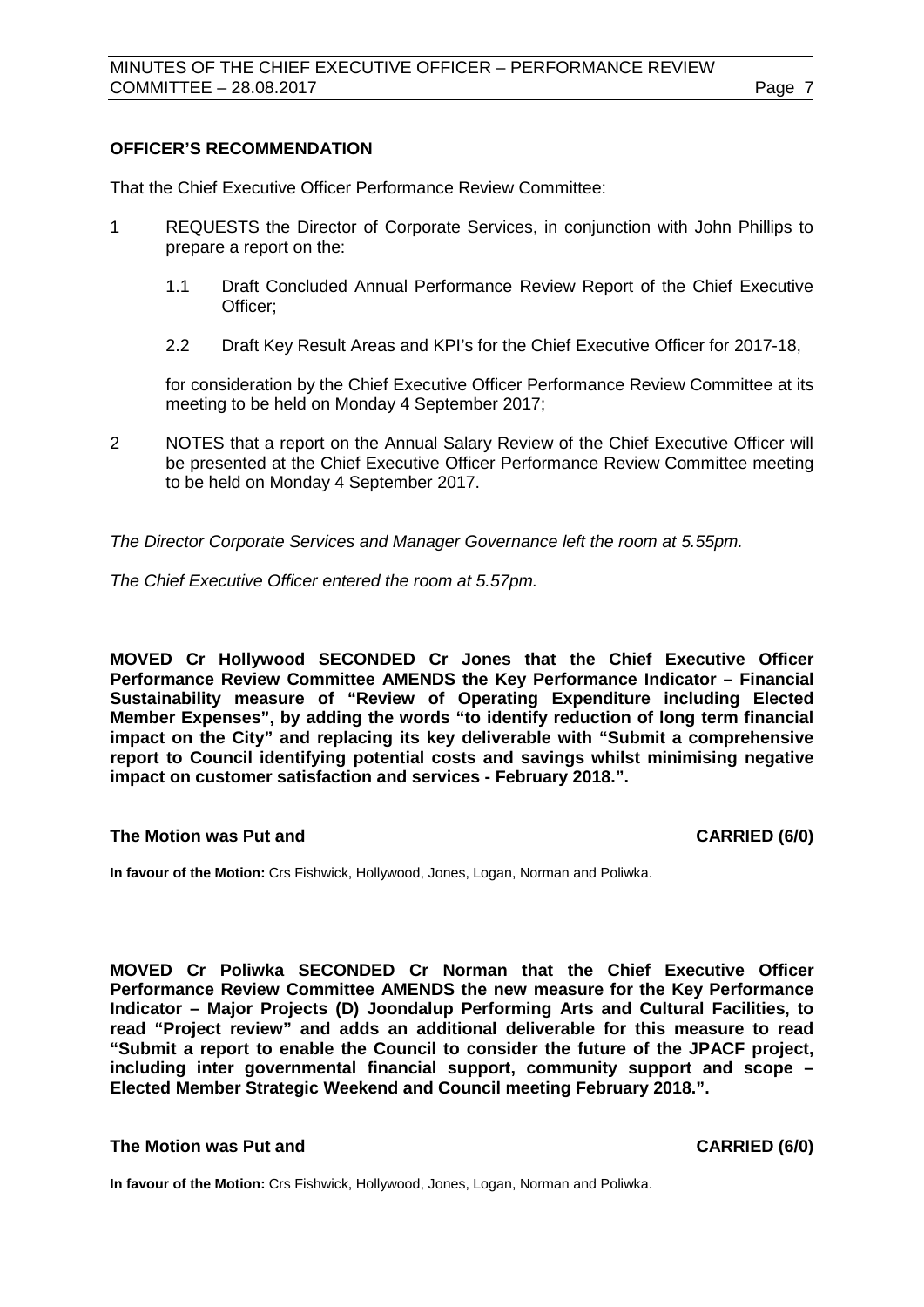#### **OFFICER'S RECOMMENDATION**

That the Chief Executive Officer Performance Review Committee:

- 1 REQUESTS the Director of Corporate Services, in conjunction with John Phillips to prepare a report on the:
	- 1.1 Draft Concluded Annual Performance Review Report of the Chief Executive Officer;
	- 2.2 Draft Key Result Areas and KPI's for the Chief Executive Officer for 2017-18,

for consideration by the Chief Executive Officer Performance Review Committee at its meeting to be held on Monday 4 September 2017;

2 NOTES that a report on the Annual Salary Review of the Chief Executive Officer will be presented at the Chief Executive Officer Performance Review Committee meeting to be held on Monday 4 September 2017.

*The Director Corporate Services and Manager Governance left the room at 5.55pm.*

*The Chief Executive Officer entered the room at 5.57pm.*

**MOVED Cr Hollywood SECONDED Cr Jones that the Chief Executive Officer Performance Review Committee AMENDS the Key Performance Indicator – Financial Sustainability measure of "Review of Operating Expenditure including Elected Member Expenses", by adding the words "to identify reduction of long term financial impact on the City" and replacing its key deliverable with "Submit a comprehensive report to Council identifying potential costs and savings whilst minimising negative impact on customer satisfaction and services - February 2018.".**

#### **The Motion was Put and CARRIED (6/0)**

**In favour of the Motion:** Crs Fishwick, Hollywood, Jones, Logan, Norman and Poliwka.

**MOVED Cr Poliwka SECONDED Cr Norman that the Chief Executive Officer Performance Review Committee AMENDS the new measure for the Key Performance Indicator – Major Projects (D) Joondalup Performing Arts and Cultural Facilities, to read "Project review" and adds an additional deliverable for this measure to read "Submit a report to enable the Council to consider the future of the JPACF project, including inter governmental financial support, community support and scope – Elected Member Strategic Weekend and Council meeting February 2018.".**

#### **The Motion was Put and CARRIED (6/0)**

**In favour of the Motion:** Crs Fishwick, Hollywood, Jones, Logan, Norman and Poliwka.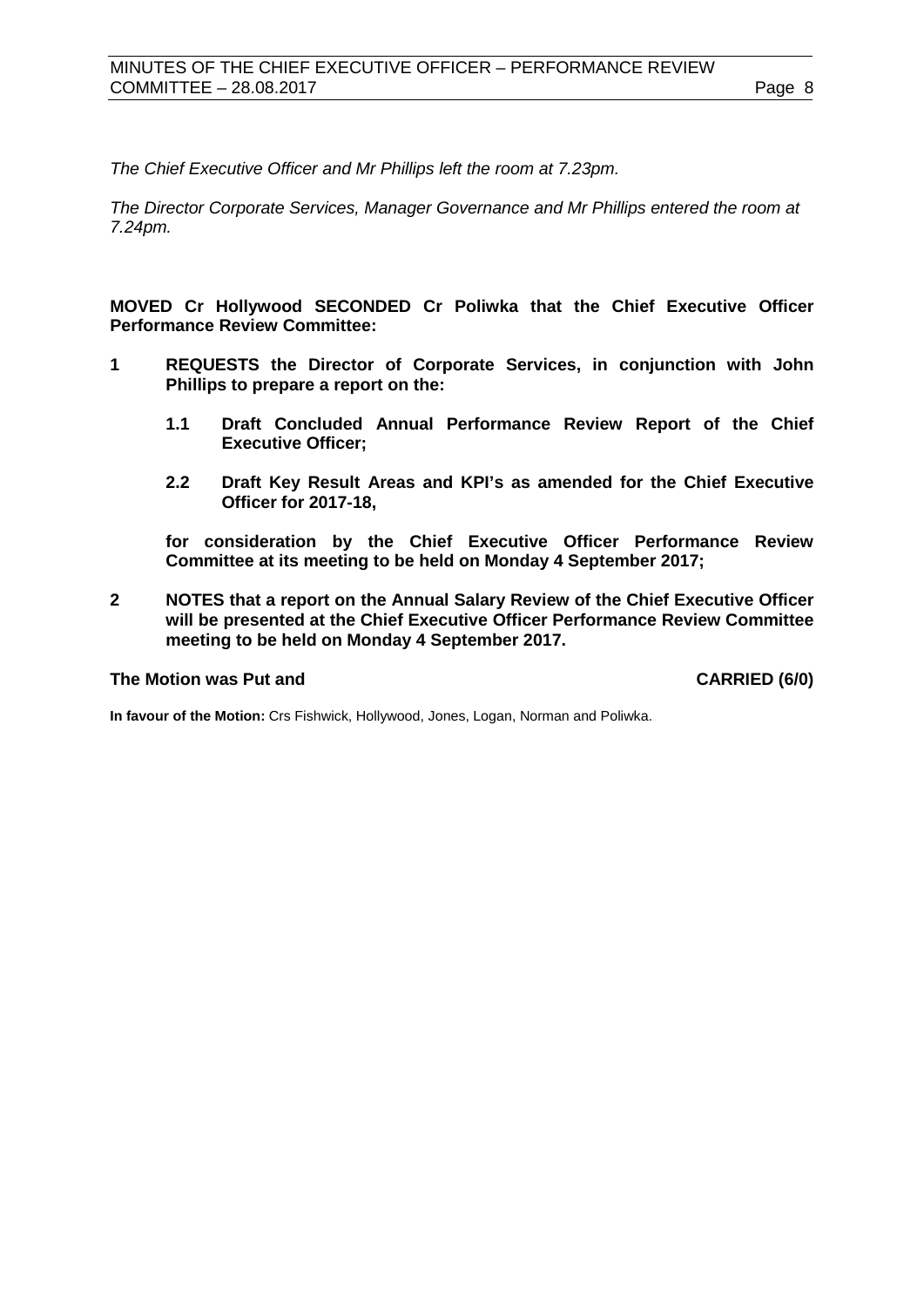*The Chief Executive Officer and Mr Phillips left the room at 7.23pm.*

*The Director Corporate Services, Manager Governance and Mr Phillips entered the room at 7.24pm.*

**MOVED Cr Hollywood SECONDED Cr Poliwka that the Chief Executive Officer Performance Review Committee:**

- **1 REQUESTS the Director of Corporate Services, in conjunction with John Phillips to prepare a report on the:**
	- **1.1 Draft Concluded Annual Performance Review Report of the Chief Executive Officer;**
	- **2.2 Draft Key Result Areas and KPI's as amended for the Chief Executive Officer for 2017-18,**

**for consideration by the Chief Executive Officer Performance Review Committee at its meeting to be held on Monday 4 September 2017;**

**2 NOTES that a report on the Annual Salary Review of the Chief Executive Officer will be presented at the Chief Executive Officer Performance Review Committee meeting to be held on Monday 4 September 2017.**

#### **The Motion was Put and CARRIED (6/0)**

**In favour of the Motion:** Crs Fishwick, Hollywood, Jones, Logan, Norman and Poliwka.